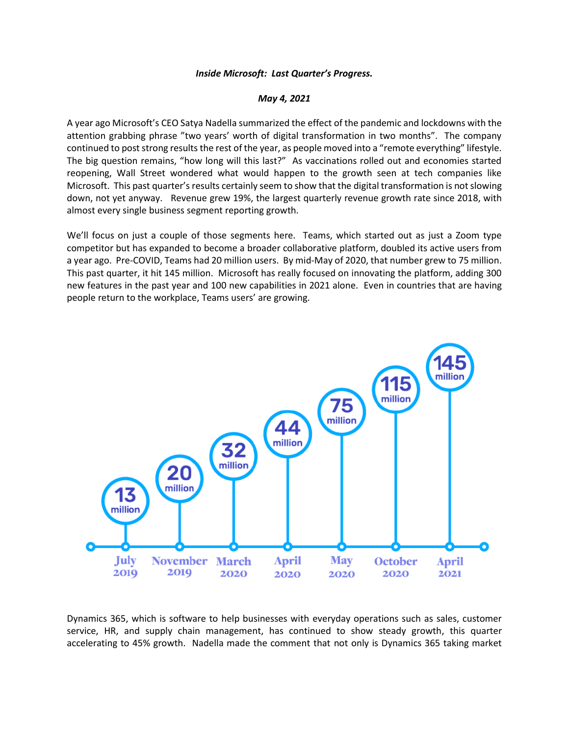## *Inside Microsoft: Last Quarter's Progress.*

## *May 4, 2021*

A year ago Microsoft's CEO Satya Nadella summarized the effect of the pandemic and lockdowns with the attention grabbing phrase "two years' worth of digital transformation in two months". The company continued to post strong results the rest of the year, as people moved into a "remote everything" lifestyle. The big question remains, "how long will this last?" As vaccinations rolled out and economies started reopening, Wall Street wondered what would happen to the growth seen at tech companies like Microsoft. This past quarter's results certainly seem to show that the digital transformation is not slowing down, not yet anyway. Revenue grew 19%, the largest quarterly revenue growth rate since 2018, with almost every single business segment reporting growth.

We'll focus on just a couple of those segments here. Teams, which started out as just a Zoom type competitor but has expanded to become a broader collaborative platform, doubled its active users from a year ago. Pre-COVID, Teams had 20 million users. By mid-May of 2020, that number grew to 75 million. This past quarter, it hit 145 million. Microsoft has really focused on innovating the platform, adding 300 new features in the past year and 100 new capabilities in 2021 alone. Even in countries that are having people return to the workplace, Teams users' are growing.



Dynamics 365, which is software to help businesses with everyday operations such as sales, customer service, HR, and supply chain management, has continued to show steady growth, this quarter accelerating to 45% growth. Nadella made the comment that not only is Dynamics 365 taking market